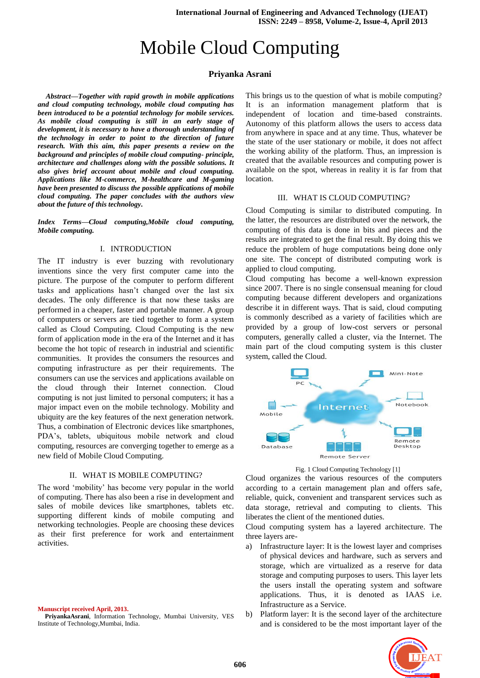# Mobile Cloud Computing

## **Priyanka Asrani**

*Abstract***—***Together with rapid growth in mobile applications and cloud computing technology, mobile cloud computing has been introduced to be a potential technology for mobile services. As mobile cloud computing is still in an early stage of development, it is necessary to have a thorough understanding of the technology in order to point to the direction of future research. With this aim, this paper presents a review on the background and principles of mobile cloud computing- principle, architecture and challenges along with the possible solutions. It also gives brief account about mobile and cloud computing. Applications like M-commerce, M-healthcare and M-gaming have been presented to discuss the possible applications of mobile cloud computing. The paper concludes with the authors view about the future of this technology.*

*Index Terms***—***Cloud computing,Mobile cloud computing, Mobile computing.*

#### I. INTRODUCTION

The IT industry is ever buzzing with revolutionary inventions since the very first computer came into the picture. The purpose of the computer to perform different tasks and applications hasn"t changed over the last six decades. The only difference is that now these tasks are performed in a cheaper, faster and portable manner. A group of computers or servers are tied together to form a system called as Cloud Computing. Cloud Computing is the new form of application mode in the era of the Internet and it has become the hot topic of research in industrial and scientific communities. It provides the consumers the resources and computing infrastructure as per their requirements. The consumers can use the services and applications available on the cloud through their Internet connection. Cloud computing is not just limited to personal computers; it has a major impact even on the mobile technology. Mobility and ubiquity are the key features of the next generation network. Thus, a combination of Electronic devices like smartphones, PDA"s, tablets, ubiquitous mobile network and cloud computing, resources are converging together to emerge as a new field of Mobile Cloud Computing.

#### II. WHAT IS MOBILE COMPUTING?

The word "mobility" has become very popular in the world of computing. There has also been a rise in development and sales of mobile devices like smartphones, tablets etc. supporting different kinds of mobile computing and networking technologies. People are choosing these devices as their first preference for work and entertainment activities.

**Manuscript received April, 2013.**

This brings us to the question of what is mobile computing? It is an information management platform that is independent of location and time-based constraints. Autonomy of this platform allows the users to access data from anywhere in space and at any time. Thus, whatever be the state of the user stationary or mobile, it does not affect the working ability of the platform. Thus, an impression is created that the available resources and computing power is available on the spot, whereas in reality it is far from that location.

#### III. WHAT IS CLOUD COMPUTING?

Cloud Computing is similar to distributed computing. In the latter, the resources are distributed over the network, the computing of this data is done in bits and pieces and the results are integrated to get the final result. By doing this we reduce the problem of huge computations being done only one site. The concept of distributed computing work is applied to cloud computing.

Cloud computing has become a well-known expression since 2007. There is no single consensual meaning for cloud computing because different developers and organizations describe it in different ways. That is said, cloud computing is commonly described as a variety of facilities which are provided by a group of low-cost servers or personal computers, generally called a cluster, via the Internet. The main part of the cloud computing system is this cluster system, called the Cloud.



Fig. 1 Cloud Computing Technology [1]

Cloud organizes the various resources of the computers according to a certain management plan and offers safe, reliable, quick, convenient and transparent services such as data storage, retrieval and computing to clients. This liberates the client of the mentioned duties.

Cloud computing system has a layered architecture. The three layers are-

- a) Infrastructure layer: It is the lowest layer and comprises of physical devices and hardware, such as servers and storage, which are virtualized as a reserve for data storage and computing purposes to users. This layer lets the users install the operating system and software applications. Thus, it is denoted as IAAS i.e. Infrastructure as a Service.
- b) Platform layer: It is the second layer of the architecture and is considered to be the most important layer of the



**PriyankaAsrani**, Information Technology, Mumbai University, VES Institute of Technology,Mumbai, India.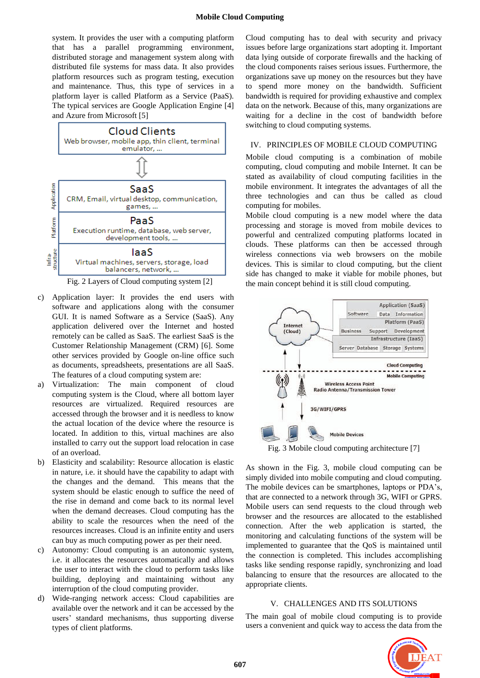system. It provides the user with a computing platform that has a parallel programming environment, distributed storage and management system along with distributed file systems for mass data. It also provides platform resources such as program testing, execution and maintenance. Thus, this type of services in a platform layer is called Platform as a Service (PaaS). The typical services are Google Application Engine [4] and Azure from Microsoft [5]



Fig. 2 Layers of Cloud computing system [2]

- c) Application layer: It provides the end users with software and applications along with the consumer GUI. It is named Software as a Service (SaaS). Any application delivered over the Internet and hosted remotely can be called as SaaS. The earliest SaaS is the Customer Relationship Management (CRM) [6]. Some other services provided by Google on-line office such as documents, spreadsheets, presentations are all SaaS. The features of a cloud computing system are:
- a) Virtualization: The main component of cloud computing system is the Cloud, where all bottom layer resources are virtualized. Required resources are accessed through the browser and it is needless to know the actual location of the device where the resource is located. In addition to this, virtual machines are also installed to carry out the support load relocation in case of an overload.
- b) Elasticity and scalability: Resource allocation is elastic in nature, i.e. it should have the capability to adapt with the changes and the demand. This means that the system should be elastic enough to suffice the need of the rise in demand and come back to its normal level when the demand decreases. Cloud computing has the ability to scale the resources when the need of the resources increases. Cloud is an infinite entity and users can buy as much computing power as per their need.
- c) Autonomy: Cloud computing is an autonomic system, i.e. it allocates the resources automatically and allows the user to interact with the cloud to perform tasks like building, deploying and maintaining without any interruption of the cloud computing provider.
- d) Wide-ranging network access: Cloud capabilities are available over the network and it can be accessed by the users" standard mechanisms, thus supporting diverse types of client platforms.

Cloud computing has to deal with security and privacy issues before large organizations start adopting it. Important data lying outside of corporate firewalls and the hacking of the cloud components raises serious issues. Furthermore, the organizations save up money on the resources but they have to spend more money on the bandwidth. Sufficient bandwidth is required for providing exhaustive and complex data on the network. Because of this, many organizations are waiting for a decline in the cost of bandwidth before switching to cloud computing systems.

## IV. PRINCIPLES OF MOBILE CLOUD COMPUTING

Mobile cloud computing is a combination of mobile computing, cloud computing and mobile Internet. It can be stated as availability of cloud computing facilities in the mobile environment. It integrates the advantages of all the three technologies and can thus be called as cloud computing for mobiles.

Mobile cloud computing is a new model where the data processing and storage is moved from mobile devices to powerful and centralized computing platforms located in clouds. These platforms can then be accessed through wireless connections via web browsers on the mobile devices. This is similar to cloud computing, but the client side has changed to make it viable for mobile phones, but the main concept behind it is still cloud computing.



Fig. 3 Mobile cloud computing architecture [7]

As shown in the Fig. 3, mobile cloud computing can be simply divided into mobile computing and cloud computing. The mobile devices can be smartphones, laptops or PDA"s, that are connected to a network through 3G, WIFI or GPRS. Mobile users can send requests to the cloud through web browser and the resources are allocated to the established connection. After the web application is started, the monitoring and calculating functions of the system will be implemented to guarantee that the QoS is maintained until the connection is completed. This includes accomplishing tasks like sending response rapidly, synchronizing and load balancing to ensure that the resources are allocated to the appropriate clients.

## V. CHALLENGES AND ITS SOLUTIONS

The main goal of mobile cloud computing is to provide users a convenient and quick way to access the data from the

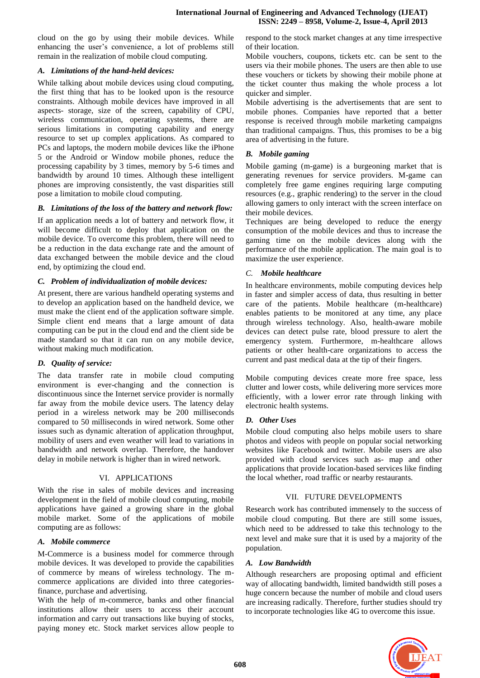cloud on the go by using their mobile devices. While enhancing the user's convenience, a lot of problems still remain in the realization of mobile cloud computing.

# *A. Limitations of the hand-held devices:*

While talking about mobile devices using cloud computing, the first thing that has to be looked upon is the resource constraints. Although mobile devices have improved in all aspects- storage, size of the screen, capability of CPU, wireless communication, operating systems, there are serious limitations in computing capability and energy resource to set up complex applications. As compared to PCs and laptops, the modern mobile devices like the iPhone 5 or the Android or Window mobile phones, reduce the processing capability by 3 times, memory by 5-6 times and bandwidth by around 10 times. Although these intelligent phones are improving consistently, the vast disparities still pose a limitation to mobile cloud computing.

#### *B. Limitations of the loss of the battery and network flow:*

If an application needs a lot of battery and network flow, it will become difficult to deploy that application on the mobile device. To overcome this problem, there will need to be a reduction in the data exchange rate and the amount of data exchanged between the mobile device and the cloud end, by optimizing the cloud end.

## *C. Problem of individualization of mobile devices:*

At present, there are various handheld operating systems and to develop an application based on the handheld device, we must make the client end of the application software simple. Simple client end means that a large amount of data computing can be put in the cloud end and the client side be made standard so that it can run on any mobile device, without making much modification.

## *D. Quality of service:*

The data transfer rate in mobile cloud computing environment is ever-changing and the connection is discontinuous since the Internet service provider is normally far away from the mobile device users. The latency delay period in a wireless network may be 200 milliseconds compared to 50 milliseconds in wired network. Some other issues such as dynamic alteration of application throughput, mobility of users and even weather will lead to variations in bandwidth and network overlap. Therefore, the handover delay in mobile network is higher than in wired network.

#### VI. APPLICATIONS

With the rise in sales of mobile devices and increasing development in the field of mobile cloud computing, mobile applications have gained a growing share in the global mobile market. Some of the applications of mobile computing are as follows:

#### *A. Mobile commerce*

M-Commerce is a business model for commerce through mobile devices. It was developed to provide the capabilities of commerce by means of wireless technology. The mcommerce applications are divided into three categoriesfinance, purchase and advertising.

With the help of m-commerce, banks and other financial institutions allow their users to access their account information and carry out transactions like buying of stocks, paying money etc. Stock market services allow people to respond to the stock market changes at any time irrespective of their location.

Mobile vouchers, coupons, tickets etc. can be sent to the users via their mobile phones. The users are then able to use these vouchers or tickets by showing their mobile phone at the ticket counter thus making the whole process a lot quicker and simpler.

Mobile advertising is the advertisements that are sent to mobile phones. Companies have reported that a better response is received through mobile marketing campaigns than traditional campaigns. Thus, this promises to be a big area of advertising in the future.

## *B. Mobile gaming*

Mobile gaming (m-game) is a burgeoning market that is generating revenues for service providers. M-game can completely free game engines requiring large computing resources (e.g., graphic rendering) to the server in the cloud allowing gamers to only interact with the screen interface on their mobile devices.

Techniques are being developed to reduce the energy consumption of the mobile devices and thus to increase the gaming time on the mobile devices along with the performance of the mobile application. The main goal is to maximize the user experience.

## *C. Mobile healthcare*

In healthcare environments, mobile computing devices help in faster and simpler access of data, thus resulting in better care of the patients. Mobile healthcare (m-healthcare) enables patients to be monitored at any time, any place through wireless technology. Also, health-aware mobile devices can detect pulse rate, blood pressure to alert the emergency system. Furthermore, m-healthcare allows patients or other health-care organizations to access the current and past medical data at the tip of their fingers.

Mobile computing devices create more free space, less clutter and lower costs, while delivering more services more efficiently, with a lower error rate through linking with electronic health systems.

## *D. Other Uses*

Mobile cloud computing also helps mobile users to share photos and videos with people on popular social networking websites like Facebook and twitter. Mobile users are also provided with cloud services such as- map and other applications that provide location-based services like finding the local whether, road traffic or nearby restaurants.

## VII. FUTURE DEVELOPMENTS

Research work has contributed immensely to the success of mobile cloud computing. But there are still some issues, which need to be addressed to take this technology to the next level and make sure that it is used by a majority of the population.

#### *A. Low Bandwidth*

Although researchers are proposing optimal and efficient way of allocating bandwidth, limited bandwidth still poses a huge concern because the number of mobile and cloud users are increasing radically. Therefore, further studies should try to incorporate technologies like 4G to overcome this issue.